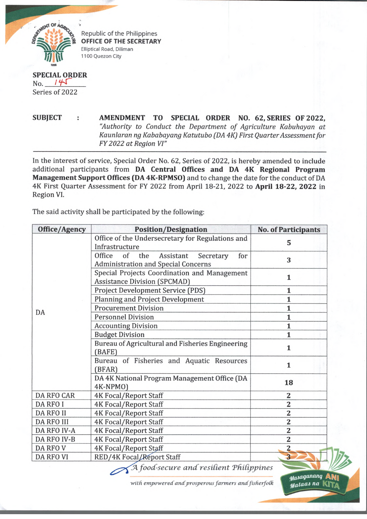

Republic of the Philippines **OFFICE OF THE SECRETARY** Elliptical Road, Diliman 1100 Quezon City

## **SPECIAL ORDER** No. 745 Series of 2022

**SUBJECT : AMENDMENT TO SPECIAL ORDER NO. 62, SERIES OF 2022,** "Authority to Conduct the Department of Agriculture Kabuhayan at *Kaunlaran ng Kababayang Katutubo (DA 4K1 First Quarter Assessment for FY 2022 at Region VI"* 

In the interest of service, Special Order No. 62, Series of 2022, is hereby amended to include additional participants from **DA Central Offices and DA 4K Regional Program Management Support Offices (DA 4K-RPMS0)** and to change the date for the conduct of DA 4K First Quarter Assessment for FY 2022 from April 18-21, 2022 to **April 18-22, 2022** in Region VI.

The said activity shall be participated by the following:

| Office/Agency      | <b>Position/Designation</b>                                                                     | <b>No. of Participants</b> |
|--------------------|-------------------------------------------------------------------------------------------------|----------------------------|
|                    | Office of the Undersecretary for Regulations and<br>Infrastructure                              | 5                          |
|                    | Office<br>of<br>the<br>Assistant Secretary<br>for<br><b>Administration and Special Concerns</b> | 3                          |
|                    | Special Projects Coordination and Management<br><b>Assistance Division (SPCMAD)</b>             | $\mathbf{1}$               |
|                    | Project Development Service (PDS)                                                               | $\mathbf{1}$               |
|                    | <b>Planning and Project Development</b>                                                         | 1                          |
| DA                 | <b>Procurement Division</b>                                                                     | $\mathbf{1}$               |
|                    | <b>Personnel Division</b>                                                                       | $\mathbf{1}$               |
|                    | <b>Accounting Division</b>                                                                      | $\mathbf{1}$               |
|                    | <b>Budget Division</b>                                                                          | $\mathbf{1}$               |
|                    | Bureau of Agricultural and Fisheries Engineering<br>(BAFE)                                      | $\mathbf{1}$               |
|                    | Bureau of Fisheries and Aquatic Resources<br>(BFAR)                                             | $\mathbf{1}$               |
|                    | DA 4K National Program Management Office (DA<br>4K-NPMO)                                        | 18                         |
| <b>DA RFO CAR</b>  | <b>4K Focal/Report Staff</b>                                                                    | 2                          |
| <b>DA RFO I</b>    | <b>4K Focal/Report Staff</b>                                                                    | $\overline{c}$             |
| <b>DA RFO II</b>   | <b>4K Focal/Report Staff</b>                                                                    | $\overline{2}$             |
| <b>DA RFO III</b>  | <b>4K Focal/Report Staff</b>                                                                    | $\overline{\mathbf{2}}$    |
| <b>DA RFO IV-A</b> | <b>4K Focal/Report Staff</b>                                                                    | $\overline{\mathbf{2}}$    |
| DA RFO IV-B        | <b>4K Focal/Report Staff</b>                                                                    | $\overline{\mathbf{2}}$    |
| DA RFO V           | <b>4K Focal/Report Staff</b>                                                                    | $\overline{\mathbf{c}}$    |
| <b>DA RFO VI</b>   | RED/4K Focal / Report Staff                                                                     | $\overline{\mathbf{3}}$    |

with empowered and prosperous farmers and fisherfolk

*^ a p ig a m n g* **Atyj** *Mataas* na